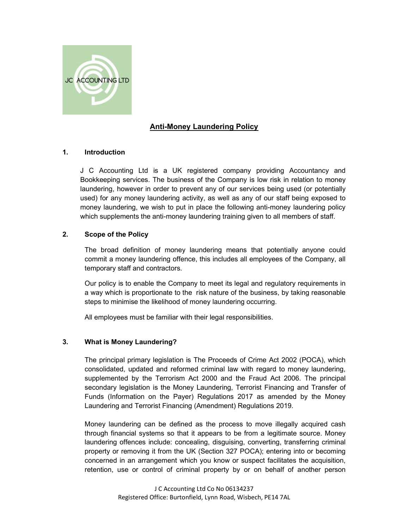

# Anti-Money Laundering Policy

# 1. Introduction

J C Accounting Ltd is a UK registered company providing Accountancy and Bookkeeping services. The business of the Company is low risk in relation to money laundering, however in order to prevent any of our services being used (or potentially used) for any money laundering activity, as well as any of our staff being exposed to money laundering, we wish to put in place the following anti-money laundering policy which supplements the anti-money laundering training given to all members of staff.

## 2. Scope of the Policy

The broad definition of money laundering means that potentially anyone could commit a money laundering offence, this includes all employees of the Company, all temporary staff and contractors.

Our policy is to enable the Company to meet its legal and regulatory requirements in a way which is proportionate to the risk nature of the business, by taking reasonable steps to minimise the likelihood of money laundering occurring.

All employees must be familiar with their legal responsibilities.

# 3. What is Money Laundering?

The principal primary legislation is The Proceeds of Crime Act 2002 (POCA), which consolidated, updated and reformed criminal law with regard to money laundering, supplemented by the Terrorism Act 2000 and the Fraud Act 2006. The principal secondary legislation is the Money Laundering, Terrorist Financing and Transfer of Funds (Information on the Payer) Regulations 2017 as amended by the Money Laundering and Terrorist Financing (Amendment) Regulations 2019.

Money laundering can be defined as the process to move illegally acquired cash through financial systems so that it appears to be from a legitimate source. Money laundering offences include: concealing, disguising, converting, transferring criminal property or removing it from the UK (Section 327 POCA); entering into or becoming concerned in an arrangement which you know or suspect facilitates the acquisition, retention, use or control of criminal property by or on behalf of another person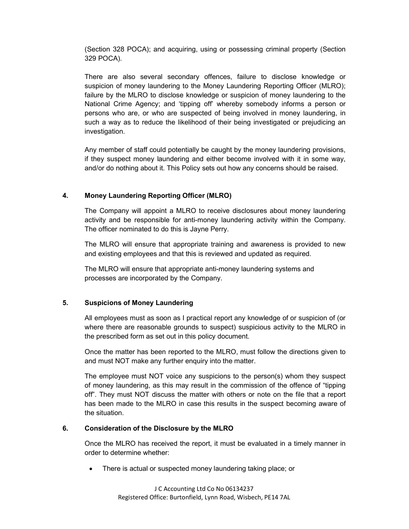(Section 328 POCA); and acquiring, using or possessing criminal property (Section 329 POCA).

There are also several secondary offences, failure to disclose knowledge or suspicion of money laundering to the Money Laundering Reporting Officer (MLRO); failure by the MLRO to disclose knowledge or suspicion of money laundering to the National Crime Agency; and 'tipping off' whereby somebody informs a person or persons who are, or who are suspected of being involved in money laundering, in such a way as to reduce the likelihood of their being investigated or prejudicing an investigation.

Any member of staff could potentially be caught by the money laundering provisions, if they suspect money laundering and either become involved with it in some way, and/or do nothing about it. This Policy sets out how any concerns should be raised.

## 4. Money Laundering Reporting Officer (MLRO)

The Company will appoint a MLRO to receive disclosures about money laundering activity and be responsible for anti-money laundering activity within the Company. The officer nominated to do this is Jayne Perry.

The MLRO will ensure that appropriate training and awareness is provided to new and existing employees and that this is reviewed and updated as required.

The MLRO will ensure that appropriate anti-money laundering systems and processes are incorporated by the Company.

#### 5. Suspicions of Money Laundering

All employees must as soon as I practical report any knowledge of or suspicion of (or where there are reasonable grounds to suspect) suspicious activity to the MLRO in the prescribed form as set out in this policy document.

Once the matter has been reported to the MLRO, must follow the directions given to and must NOT make any further enquiry into the matter.

The employee must NOT voice any suspicions to the person(s) whom they suspect of money laundering, as this may result in the commission of the offence of "tipping off". They must NOT discuss the matter with others or note on the file that a report has been made to the MLRO in case this results in the suspect becoming aware of the situation.

#### 6. Consideration of the Disclosure by the MLRO

Once the MLRO has received the report, it must be evaluated in a timely manner in order to determine whether:

There is actual or suspected money laundering taking place; or